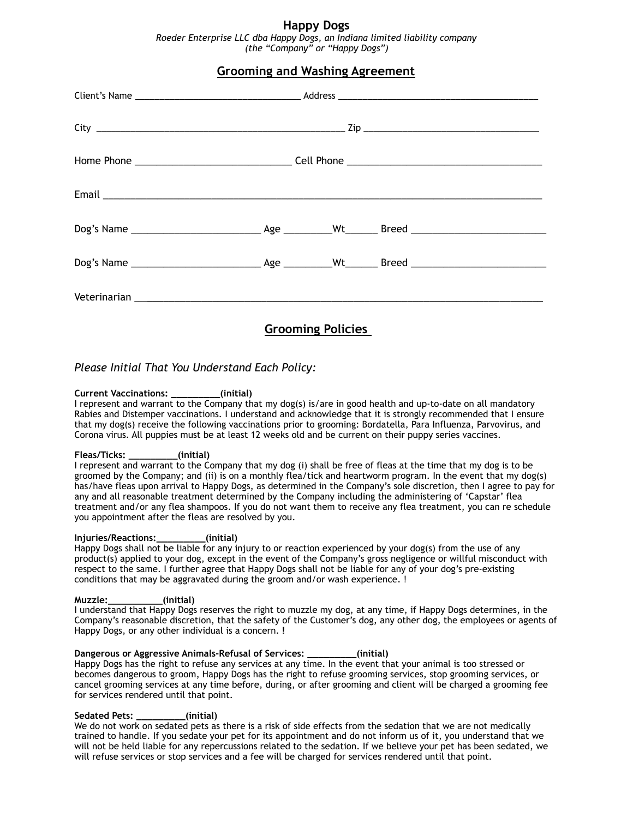# **Happy Dogs**

*Roeder Enterprise LLC dba Happy Dogs, an Indiana limited liability company (the "Company" or "Happy Dogs")* 

# **Grooming and Washing Agreement**

*Please Initial That You Understand Each Policy:* 

## **Current Vaccinations: \_\_\_\_\_\_\_\_\_(initial)**

I represent and warrant to the Company that my dog(s) is/are in good health and up-to-date on all mandatory Rabies and Distemper vaccinations. I understand and acknowledge that it is strongly recommended that I ensure that my dog(s) receive the following vaccinations prior to grooming: Bordatella, Para Influenza, Parvovirus, and Corona virus. All puppies must be at least 12 weeks old and be current on their puppy series vaccines.

**Grooming Policies** 

### **Fleas/Ticks: \_\_\_\_\_\_\_\_\_(initial)**

I represent and warrant to the Company that my dog (i) shall be free of fleas at the time that my dog is to be groomed by the Company; and (ii) is on a monthly flea/tick and heartworm program. In the event that my dog(s) has/have fleas upon arrival to Happy Dogs, as determined in the Company's sole discretion, then I agree to pay for any and all reasonable treatment determined by the Company including the administering of 'Capstar' flea treatment and/or any flea shampoos. If you do not want them to receive any flea treatment, you can re schedule you appointment after the fleas are resolved by you.

### **Injuries/Reactions:\_\_\_\_\_\_\_\_\_(initial)**

Happy Dogs shall not be liable for any injury to or reaction experienced by your dog(s) from the use of any product(s) applied to your dog, except in the event of the Company's gross negligence or willful misconduct with respect to the same. I further agree that Happy Dogs shall not be liable for any of your dog's pre-existing conditions that may be aggravated during the groom and/or wash experience. !

### **Muzzle:\_\_\_\_\_\_\_\_\_\_(initial)**

I understand that Happy Dogs reserves the right to muzzle my dog, at any time, if Happy Dogs determines, in the Company's reasonable discretion, that the safety of the Customer's dog, any other dog, the employees or agents of Happy Dogs, or any other individual is a concern. **!**

**Dangerous or Aggressive Animals-Refusal of Services: \_\_\_\_\_\_\_\_\_(initial)**  Happy Dogs has the right to refuse any services at any time. In the event that your animal is too stressed or becomes dangerous to groom, Happy Dogs has the right to refuse grooming services, stop grooming services, or cancel grooming services at any time before, during, or after grooming and client will be charged a grooming fee for services rendered until that point.

### **Sedated Pets: \_\_\_\_\_\_\_\_\_(initial)**

We do not work on sedated pets as there is a risk of side effects from the sedation that we are not medically trained to handle. If you sedate your pet for its appointment and do not inform us of it, you understand that we will not be held liable for any repercussions related to the sedation. If we believe your pet has been sedated, we will refuse services or stop services and a fee will be charged for services rendered until that point.